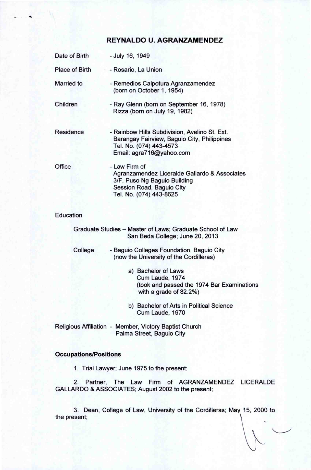## **REYNALDO U. AGRANZAMENDEZ**

| Date of Birth    | - July 16, 1949                                                                                                                                        |
|------------------|--------------------------------------------------------------------------------------------------------------------------------------------------------|
| Place of Birth   | - Rosario, La Union                                                                                                                                    |
| Married to       | - Remedios Calpotura Agranzamendez<br>(born on October 1, 1954)                                                                                        |
| Children         | - Ray Glenn (born on September 16, 1978)<br>Rizza (born on July 19, 1982)                                                                              |
| Residence        | - Rainbow Hills Subdivision, Avelino St. Ext.<br>Barangay Fairview, Baguio City, Philippines<br>Tel. No. (074) 443-4573<br>Email: agra716@yahoo.com    |
| Office           | - Law Firm of<br>Agranzamendez Liceralde Gallardo & Associates<br>3/F, Puso Ng Baguio Building<br>Session Road, Baguio City<br>Tel. No. (074) 443-8625 |
| <b>Education</b> |                                                                                                                                                        |
|                  | Graduate Studies - Master of Laws; Graduate School of Law<br>San Beda College; June 20, 2013                                                           |
| College          | - Baguio Colleges Foundation, Baguio City<br>(now the University of the Cordilleras)                                                                   |
|                  | a) Bachelor of Laws<br>Cum Laude, 1974<br>(took and passed the 1974 Bar Examinations<br>with a grade of 82.2%)                                         |
|                  | b) Bachelor of Arts in Political Science<br>Cum Laude, 1970                                                                                            |
|                  | Religious Affiliation - Member, Victory Baptist Church<br>Palma Street, Baguio City                                                                    |
|                  |                                                                                                                                                        |

## **Occupations/Positions**

1. Trial Lawyer; June 1975 to the present;

2. Partner, The Law Firm of AGRANZAMENDEZ LICERALDE GALLARDO & ASSOCIATES; August 2002 to the present;

3. Dean, College of Law, University of the Cordilleras; May 15, 2000 to the present;